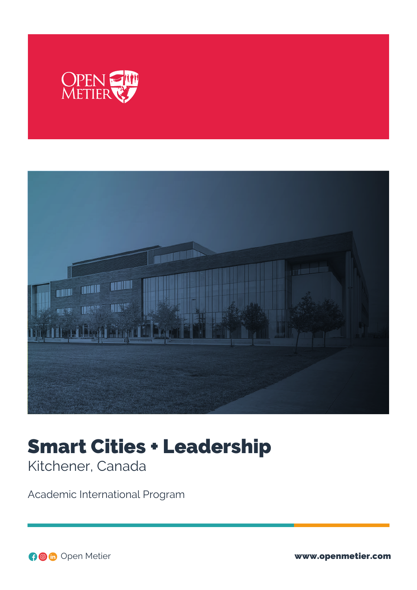



# Smart Cities + Leadership Kitchener, Canada

Academic International Program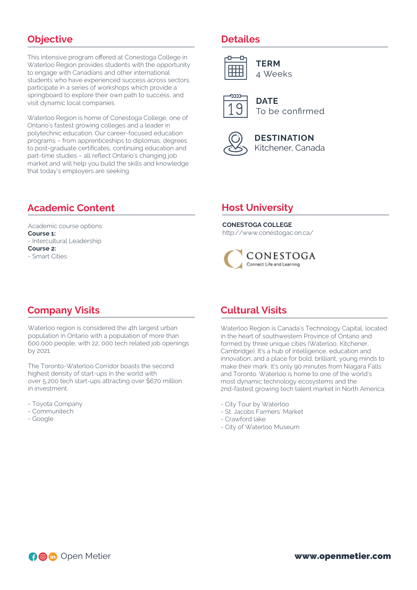# **Objective**

This intensive program offered at Conestoga College in Waterloo Region provides students with the opportunity to engage with Canadians and other international students who have experienced success across sectors, participate in a series of workshops which provide a springboard to explore their own path to success, and visit dynamic local companies.

Waterloo Region is home of Conestoga College, one of Ontario's fastest growing colleges and a leader in polytechnic education. Our career-focused education programs – from apprenticeships to diplomas, degrees to post-graduate certificates, continuing education and part-time studies – all reflect Ontario's changing job market and will help you build the skills and knowledge that today's employers are seeking.

# **Academic Content**

Academic course options: **Course 1:** - Intercultural Leadership **Course 2:** - Smart Cities

#### **Detailes**



**TERM** 4 Weeks



**DATE** To be confirmed



**DESTINATION** Kitchener, Canada

# **Host University**

**CONESTOGA COLLEGE**

http://www.conestogac.on.ca/



# **Company Visits**

Waterloo region is considered the 4th largest urban population in Ontario with a population of more than 600,000 people, with 22, 000 tech related job openings by 2021.

The Toronto-Waterloo Corridor boasts the second highest density of start-ups in the world with over 5,200 tech start-ups attracting over \$670 million in investment.

- Toyota Company
- Communitech
- Google

## **Cultural Visits**

Waterloo Region is Canada's Technology Capital, located in the heart of southwestern Province of Ontario and formed by three unique cities (Waterloo, Kitchener, Cambridge). It's a hub of intelligence, education and innovation; and a place for bold, brilliant, young minds to make their mark. It's only 90 minutes from Niagara Falls and Toronto. Waterloo is home to one of the world's most dynamic technology ecosystems and the 2nd-fastest growing tech talent market in North America.

- City Tour by Waterloo
- St. Jacobs Farmers´ Market
- Crawford lake
- City of Waterloo Museum